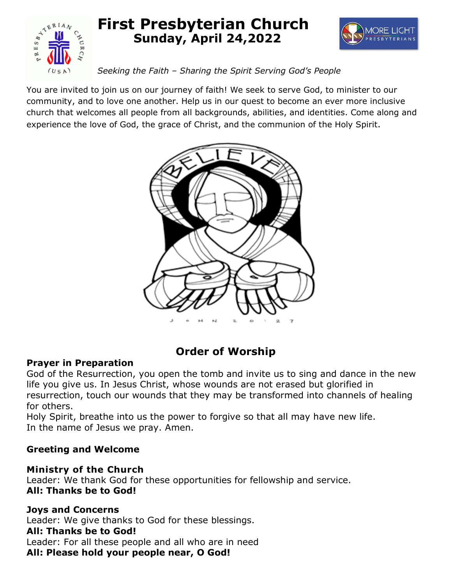

# **First Presbyterian Church Sunday, April 24,2022**



# *Seeking the Faith – Sharing the Spirit Serving God's People*

You are invited to join us on our journey of faith! We seek to serve God, to minister to our community, and to love one another. Help us in our quest to become an ever more inclusive church that welcomes all people from all backgrounds, abilities, and identities. Come along and experience the love of God, the grace of Christ, and the communion of the Holy Spirit.



# **Order of Worship**

# **Prayer in Preparation**

God of the Resurrection, you open the tomb and invite us to sing and dance in the new life you give us. In Jesus Christ, whose wounds are not erased but glorified in resurrection, touch our wounds that they may be transformed into channels of healing for others.

Holy Spirit, breathe into us the power to forgive so that all may have new life. In the name of Jesus we pray. Amen.

# **Greeting and Welcome**

# **Ministry of the Church**

Leader: We thank God for these opportunities for fellowship and service. **All: Thanks be to God!**

# **Joys and Concerns**

Leader: We give thanks to God for these blessings.

# **All: Thanks be to God!**

Leader: For all these people and all who are in need **All: Please hold your people near, O God!**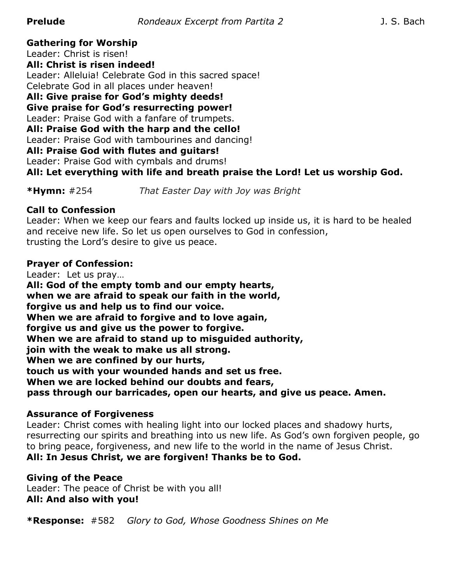**Gathering for Worship**

Leader: Christ is risen!

**All: Christ is risen indeed!** Leader: Alleluia! Celebrate God in this sacred space! Celebrate God in all places under heaven!

**All: Give praise for God's mighty deeds!**

**Give praise for God's resurrecting power!**

Leader: Praise God with a fanfare of trumpets.

**All: Praise God with the harp and the cello!**

Leader: Praise God with tambourines and dancing!

**All: Praise God with flutes and guitars!**

Leader: Praise God with cymbals and drums!

**All: Let everything with life and breath praise the Lord! Let us worship God.** 

**\*Hymn:** #254 *That Easter Day with Joy was Bright*

# **Call to Confession**

Leader: When we keep our fears and faults locked up inside us, it is hard to be healed and receive new life. So let us open ourselves to God in confession, trusting the Lord's desire to give us peace.

#### **Prayer of Confession:**

Leader: Let us pray… **All: God of the empty tomb and our empty hearts, when we are afraid to speak our faith in the world, forgive us and help us to find our voice. When we are afraid to forgive and to love again, forgive us and give us the power to forgive. When we are afraid to stand up to misguided authority, join with the weak to make us all strong. When we are confined by our hurts, touch us with your wounded hands and set us free. When we are locked behind our doubts and fears, pass through our barricades, open our hearts, and give us peace. Amen.**

#### **Assurance of Forgiveness**

Leader: Christ comes with healing light into our locked places and shadowy hurts, resurrecting our spirits and breathing into us new life. As God's own forgiven people, go to bring peace, forgiveness, and new life to the world in the name of Jesus Christ. **All: In Jesus Christ, we are forgiven! Thanks be to God.**

# **Giving of the Peace**

Leader: The peace of Christ be with you all! **All: And also with you!**

**\*Response:** #582 *Glory to God, Whose Goodness Shines on Me*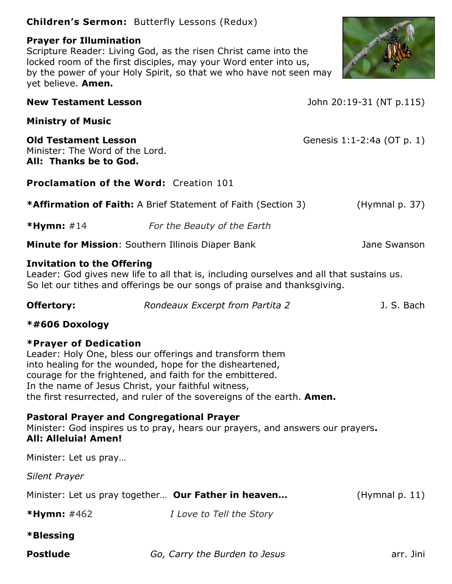# **Children's Sermon:** Butterfly Lessons (Redux)

# **Prayer for Illumination**

Scripture Reader: Living God, as the risen Christ came into the locked room of the first disciples, may your Word enter into us, by the power of your Holy Spirit, so that we who have not seen may yet believe. **Amen.**



**New Testament Lesson** John 20:19-31 (NT p.115)

**Ministry of Music**

**Old Testament Lesson** Genesis 1:1-2:4a (OT p. 1) Minister: The Word of the Lord. **All: Thanks be to God.**

**Proclamation of the Word:** Creation 101

**\*Affirmation of Faith:** A Brief Statement of Faith (Section 3) (Hymnal p. 37)

**\*Hymn:** #14 *For the Beauty of the Earth*

# **Minute for Mission**: Southern Illinois Diaper Bank Jane Swanson

# **Invitation to the Offering**

Leader: God gives new life to all that is, including ourselves and all that sustains us. So let our tithes and offerings be our songs of praise and thanksgiving.

| <b>Offertory:</b> | Rondeaux Excerpt from Partita 2 | J. S. Bach |
|-------------------|---------------------------------|------------|
|                   |                                 |            |

# **\*#606 Doxology**

# **\*Prayer of Dedication**

Leader: Holy One, bless our offerings and transform them into healing for the wounded, hope for the disheartened, courage for the frightened, and faith for the embittered. In the name of Jesus Christ, your faithful witness, the first resurrected, and ruler of the sovereigns of the earth. **Amen.**

# **Pastoral Prayer and Congregational Prayer**

Minister: God inspires us to pray, hears our prayers, and answers our prayers**. All: Alleluia! Amen!**

Minister: Let us pray…

*Silent Prayer*

| Minister: Let us pray together Our Father in heaven |  | (Hymnal p. 11) |
|-----------------------------------------------------|--|----------------|
|-----------------------------------------------------|--|----------------|

- **\*Hymn:** #462 *I Love to Tell the Story*
- **\*Blessing**
- 

**Postlude** *Go, Carry the Burden to Jesus* **arr.** Jini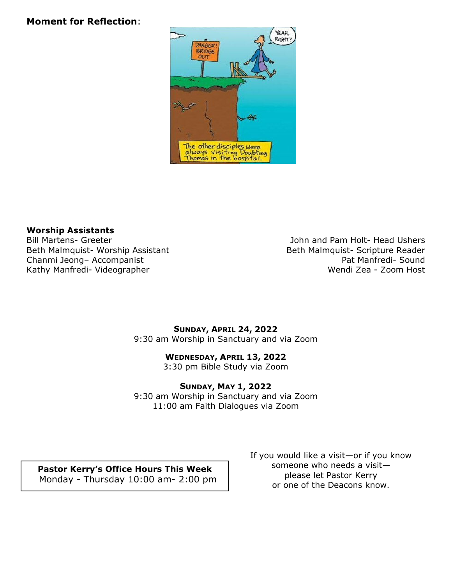# **Moment for Reflection**:



#### **Worship Assistants**

Beth Malmquist- Worship Assistant and Beth Malmquist- Scripture Reader<br>Chanmi Jeong- Accompanist Chanmi Jeong- Accompanist Chanmi Jeong- Accompanist Kathy Manfredi- Videographer Wendi Zea - Zoom Host

Bill Martens- Greeter John and Pam Holt- Head Ushers

#### **SUNDAY, APRIL 24, 2022**  9:30 am Worship in Sanctuary and via Zoom

#### **WEDNESDAY, APRIL 13, 2022**

3:30 pm Bible Study via Zoom

#### **SUNDAY, MAY 1, 2022**

9:30 am Worship in Sanctuary and via Zoom 11:00 am Faith Dialogues via Zoom

**Pastor Kerry's Office Hours This Week** Monday - Thursday 10:00 am- 2:00 pm If you would like a visit—or if you know someone who needs a visit please let Pastor Kerry or one of the Deacons know.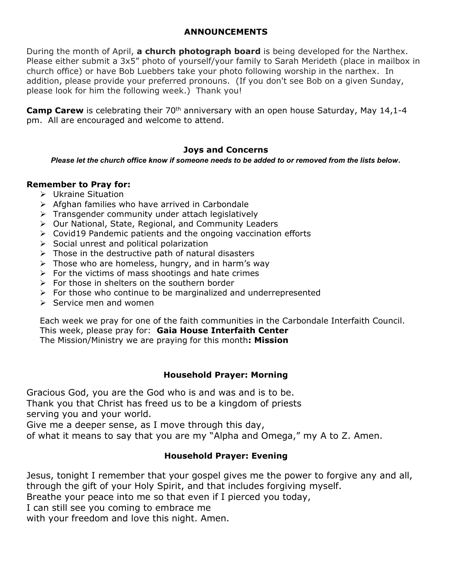#### **ANNOUNCEMENTS**

During the month of April, **a church photograph board** is being developed for the Narthex. Please either submit a 3x5" photo of yourself/your family to Sarah Merideth (place in mailbox in church office) or have Bob Luebbers take your photo following worship in the narthex. In addition, please provide your preferred pronouns. (If you don't see Bob on a given Sunday, please look for him the following week.) Thank you!

**Camp Carew** is celebrating their 70<sup>th</sup> anniversary with an open house Saturday, May 14,1-4 pm. All are encouraged and welcome to attend.

# **Joys and Concerns**

*Please let the church office know if someone needs to be added to or removed from the lists below*.

#### **Remember to Pray for:**

- Ukraine Situation
- $\triangleright$  Afghan families who have arrived in Carbondale
- $\triangleright$  Transgender community under attach legislatively
- Our National, State, Regional, and Community Leaders
- $\triangleright$  Covid19 Pandemic patients and the ongoing vaccination efforts
- $\triangleright$  Social unrest and political polarization
- $\triangleright$  Those in the destructive path of natural disasters
- $\triangleright$  Those who are homeless, hungry, and in harm's way
- $\triangleright$  For the victims of mass shootings and hate crimes
- $\triangleright$  For those in shelters on the southern border
- $\triangleright$  For those who continue to be marginalized and underrepresented
- $\triangleright$  Service men and women

Each week we pray for one of the faith communities in the Carbondale Interfaith Council. This week, please pray for: **Gaia House Interfaith Center** The Mission/Ministry we are praying for this month**: Mission**

#### **Household Prayer: Morning**

Gracious God, you are the God who is and was and is to be. Thank you that Christ has freed us to be a kingdom of priests serving you and your world.

Give me a deeper sense, as I move through this day,

of what it means to say that you are my "Alpha and Omega," my A to Z. Amen.

# **Household Prayer: Evening**

Jesus, tonight I remember that your gospel gives me the power to forgive any and all, through the gift of your Holy Spirit, and that includes forgiving myself.

Breathe your peace into me so that even if I pierced you today,

I can still see you coming to embrace me

with your freedom and love this night. Amen.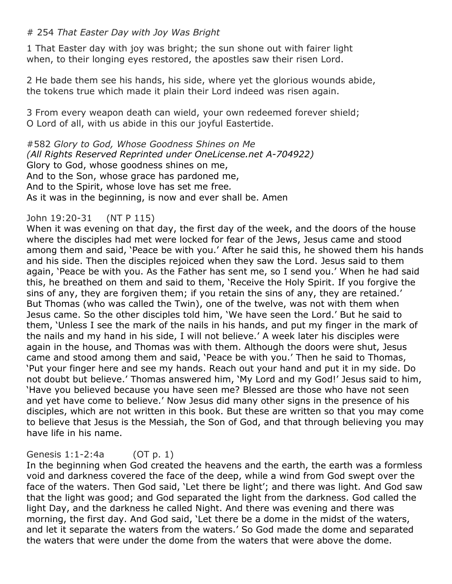# # 254 *That Easter Day with Joy Was Bright*

1 That Easter day with joy was bright; the sun shone out with fairer light when, to their longing eyes restored, the apostles saw their risen Lord.

2 He bade them see his hands, his side, where yet the glorious wounds abide, the tokens true which made it plain their Lord indeed was risen again.

3 From every weapon death can wield, your own redeemed forever shield; O Lord of all, with us abide in this our joyful Eastertide.

#582 *Glory to God, Whose Goodness Shines on Me (All Rights Reserved Reprinted under OneLicense.net A-704922)* Glory to God, whose goodness shines on me, And to the Son, whose grace has pardoned me, And to the Spirit, whose love has set me free*.* As it was in the beginning, is now and ever shall be. Amen

# John 19:20-31 (NT P 115)

When it was evening on that day, the first day of the week, and the doors of the house where the disciples had met were locked for fear of the Jews, Jesus came and stood among them and said, 'Peace be with you.' After he said this, he showed them his hands and his side. Then the disciples rejoiced when they saw the Lord. Jesus said to them again, 'Peace be with you. As the Father has sent me, so I send you.' When he had said this, he breathed on them and said to them, 'Receive the Holy Spirit. If you forgive the sins of any, they are forgiven them; if you retain the sins of any, they are retained.' But Thomas (who was called the Twin), one of the twelve, was not with them when Jesus came. So the other disciples told him, 'We have seen the Lord.' But he said to them, 'Unless I see the mark of the nails in his hands, and put my finger in the mark of the nails and my hand in his side, I will not believe.' A week later his disciples were again in the house, and Thomas was with them. Although the doors were shut, Jesus came and stood among them and said, 'Peace be with you.' Then he said to Thomas, 'Put your finger here and see my hands. Reach out your hand and put it in my side. Do not doubt but believe.' Thomas answered him, 'My Lord and my God!' Jesus said to him, 'Have you believed because you have seen me? Blessed are those who have not seen and yet have come to believe.' Now Jesus did many other signs in the presence of his disciples, which are not written in this book. But these are written so that you may come to believe that Jesus is the Messiah, the Son of God, and that through believing you may have life in his name.

#### Genesis 1:1-2:4a (OT p. 1)

In the beginning when God created the heavens and the earth, the earth was a formless void and darkness covered the face of the deep, while a wind from God swept over the face of the waters. Then God said, 'Let there be light'; and there was light. And God saw that the light was good; and God separated the light from the darkness. God called the light Day, and the darkness he called Night. And there was evening and there was morning, the first day. And God said, 'Let there be a dome in the midst of the waters, and let it separate the waters from the waters.' So God made the dome and separated the waters that were under the dome from the waters that were above the dome.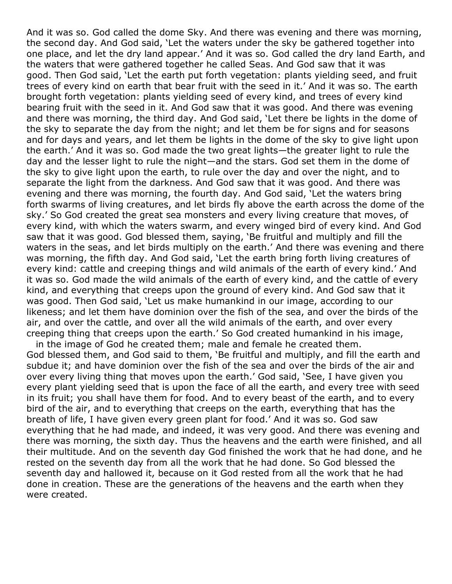And it was so. God called the dome Sky. And there was evening and there was morning, the second day. And God said, 'Let the waters under the sky be gathered together into one place, and let the dry land appear.' And it was so. God called the dry land Earth, and the waters that were gathered together he called Seas. And God saw that it was good. Then God said, 'Let the earth put forth vegetation: plants yielding seed, and fruit trees of every kind on earth that bear fruit with the seed in it.' And it was so. The earth brought forth vegetation: plants yielding seed of every kind, and trees of every kind bearing fruit with the seed in it. And God saw that it was good. And there was evening and there was morning, the third day. And God said, 'Let there be lights in the dome of the sky to separate the day from the night; and let them be for signs and for seasons and for days and years, and let them be lights in the dome of the sky to give light upon the earth.' And it was so. God made the two great lights—the greater light to rule the day and the lesser light to rule the night—and the stars. God set them in the dome of the sky to give light upon the earth, to rule over the day and over the night, and to separate the light from the darkness. And God saw that it was good. And there was evening and there was morning, the fourth day. And God said, 'Let the waters bring forth swarms of living creatures, and let birds fly above the earth across the dome of the sky.' So God created the great sea monsters and every living creature that moves, of every kind, with which the waters swarm, and every winged bird of every kind. And God saw that it was good. God blessed them, saying, 'Be fruitful and multiply and fill the waters in the seas, and let birds multiply on the earth.' And there was evening and there was morning, the fifth day. And God said, 'Let the earth bring forth living creatures of every kind: cattle and creeping things and wild animals of the earth of every kind.' And it was so. God made the wild animals of the earth of every kind, and the cattle of every kind, and everything that creeps upon the ground of every kind. And God saw that it was good. Then God said, 'Let us make humankind in our image, according to our likeness; and let them have dominion over the fish of the sea, and over the birds of the air, and over the cattle, and over all the wild animals of the earth, and over every creeping thing that creeps upon the earth.' So God created humankind in his image,

 in the image of God he created them; male and female he created them. God blessed them, and God said to them, 'Be fruitful and multiply, and fill the earth and subdue it; and have dominion over the fish of the sea and over the birds of the air and over every living thing that moves upon the earth.' God said, 'See, I have given you every plant yielding seed that is upon the face of all the earth, and every tree with seed in its fruit; you shall have them for food. And to every beast of the earth, and to every bird of the air, and to everything that creeps on the earth, everything that has the breath of life, I have given every green plant for food.' And it was so. God saw everything that he had made, and indeed, it was very good. And there was evening and there was morning, the sixth day. Thus the heavens and the earth were finished, and all their multitude. And on the seventh day God finished the work that he had done, and he rested on the seventh day from all the work that he had done. So God blessed the seventh day and hallowed it, because on it God rested from all the work that he had done in creation. These are the generations of the heavens and the earth when they were created.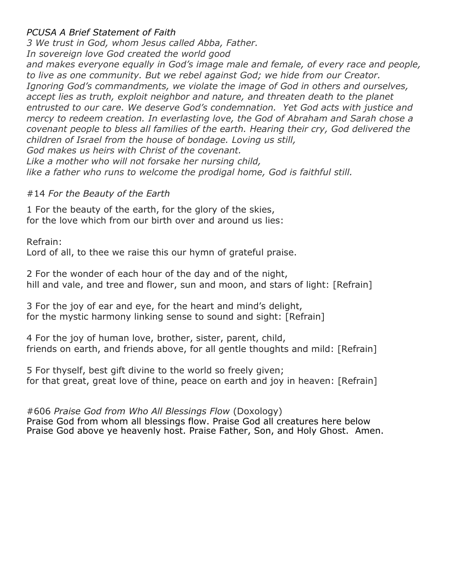# *PCUSA A Brief Statement of Faith*

*3 We trust in God, whom Jesus called Abba, Father. In sovereign love God created the world good and makes everyone equally in God's image male and female, of every race and people, to live as one community. But we rebel against God; we hide from our Creator. Ignoring God's commandments, we violate the image of God in others and ourselves, accept lies as truth, exploit neighbor and nature, and threaten death to the planet entrusted to our care. We deserve God's condemnation. Yet God acts with justice and mercy to redeem creation. In everlasting love, the God of Abraham and Sarah chose a covenant people to bless all families of the earth. Hearing their cry, God delivered the children of Israel from the house of bondage. Loving us still, God makes us heirs with Christ of the covenant. Like a mother who will not forsake her nursing child, like a father who runs to welcome the prodigal home, God is faithful still.*

#### #14 *For the Beauty of the Earth*

1 For the beauty of the earth, for the glory of the skies, for the love which from our birth over and around us lies:

Refrain:

Lord of all, to thee we raise this our hymn of grateful praise.

2 For the wonder of each hour of the day and of the night, hill and vale, and tree and flower, sun and moon, and stars of light: [Refrain]

3 For the joy of ear and eye, for the heart and mind's delight, for the mystic harmony linking sense to sound and sight: [Refrain]

4 For the joy of human love, brother, sister, parent, child, friends on earth, and friends above, for all gentle thoughts and mild: [Refrain]

5 For thyself, best gift divine to the world so freely given; for that great, great love of thine, peace on earth and joy in heaven: [Refrain]

#606 *Praise God from Who All Blessings Flow* (Doxology) Praise God from whom all blessings flow. Praise God all creatures here below Praise God above ye heavenly host. Praise Father, Son, and Holy Ghost. Amen.